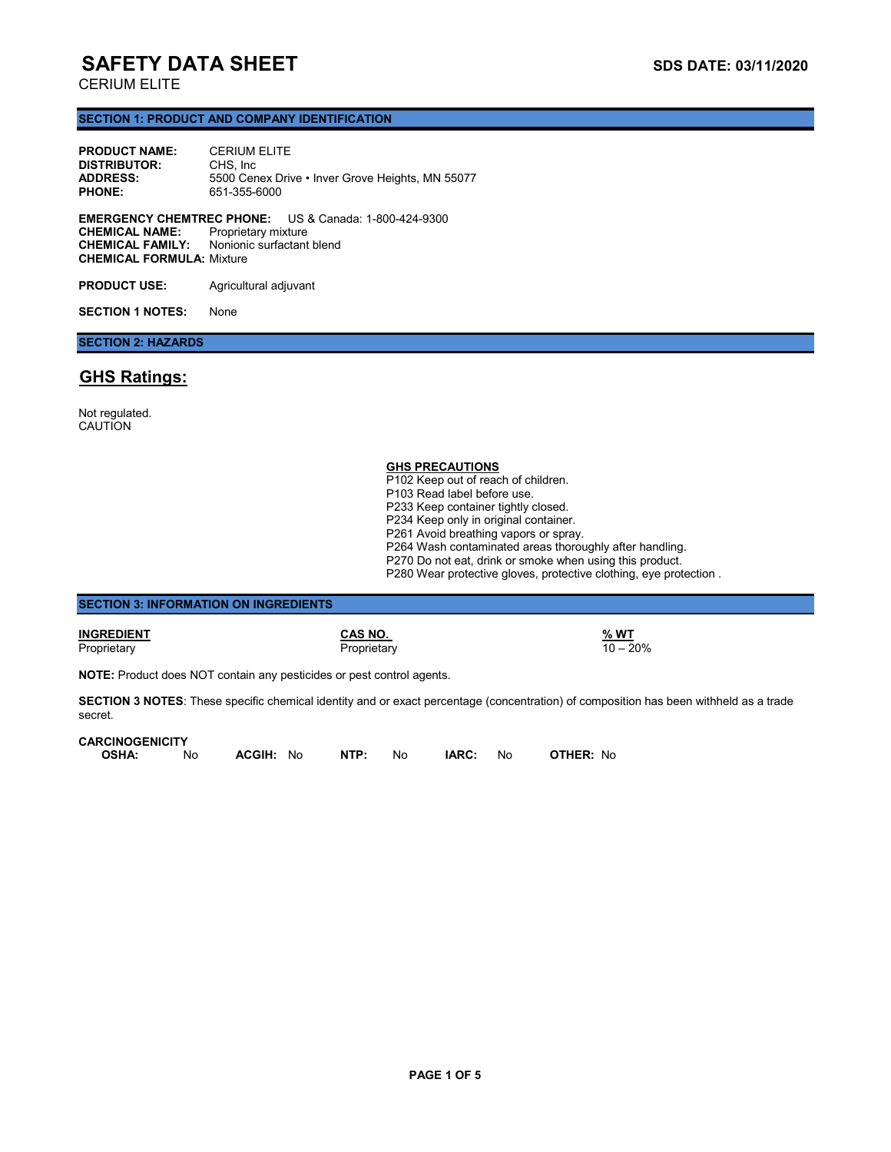## CERIUM ELITE

### **SECTION 1: PRODUCT AND COMPANY IDENTIFICATION**

| <b>PRODUCT NAME:</b>  | <b>CERIUM ELITE</b>                              |                                                              |  |
|-----------------------|--------------------------------------------------|--------------------------------------------------------------|--|
| <b>DISTRIBUTOR:</b>   | CHS. Inc.                                        |                                                              |  |
| <b>ADDRESS:</b>       | 5500 Cenex Drive • Inver Grove Heights, MN 55077 |                                                              |  |
| <b>PHONE:</b>         | 651-355-6000                                     |                                                              |  |
| <b>CHEMICAL NAME:</b> | Proprietary mixture                              | <b>EMERGENCY CHEMTREC PHONE:</b> US & Canada: 1-800-424-9300 |  |

**CHEMICAL FAMILY:** Nonionic surfactant blend **CHEMICAL FORMULA:** Mixture

PRODUCT USE: Agricultural adjuvant

**SECTION 1 NOTES:** None

## **SECTION 2: HAZARDS**

## **GHS Ratings:**

Not regulated. **CAUTION** 

| <b>GHS PRECAUTIONS</b>                                            |  |
|-------------------------------------------------------------------|--|
| P102 Keep out of reach of children.                               |  |
| P103 Read label before use.                                       |  |
| P233 Keep container tightly closed.                               |  |
| P234 Keep only in original container.                             |  |
| P261 Avoid breathing vapors or spray.                             |  |
| P264 Wash contaminated areas thoroughly after handling.           |  |
| P270 Do not eat, drink or smoke when using this product.          |  |
| P280 Wear protective gloves, protective clothing, eye protection. |  |
|                                                                   |  |

| <b>SECTION 3: INFORMATION ON INGREDIENTS</b>                                 |                                                                                                                                              |                           |
|------------------------------------------------------------------------------|----------------------------------------------------------------------------------------------------------------------------------------------|---------------------------|
| INGREDIENT<br>Proprietary                                                    | CAS NO.<br>Proprietary                                                                                                                       | <u>% WT</u><br>$10 - 20%$ |
| <b>NOTE:</b> Product does NOT contain any pesticides or pest control agents. |                                                                                                                                              |                           |
|                                                                              | <b>SECTION 3 NOTES:</b> These specific chemical identity and or exact percentage (concentration) of composition has been withheld as a trade |                           |

**SECTION 3 NOTES**: These specific chemical identity and or exact percentage (concentration) of composition has been withheld as a trade secret.

#### **CARCINOGENICITY**

| <b>OSHA:</b> | No. | <b>ACGIH: No</b> | NTP: | No. | IARC: | No. | <b>OTHER: No</b> |
|--------------|-----|------------------|------|-----|-------|-----|------------------|
|              |     |                  |      |     |       |     |                  |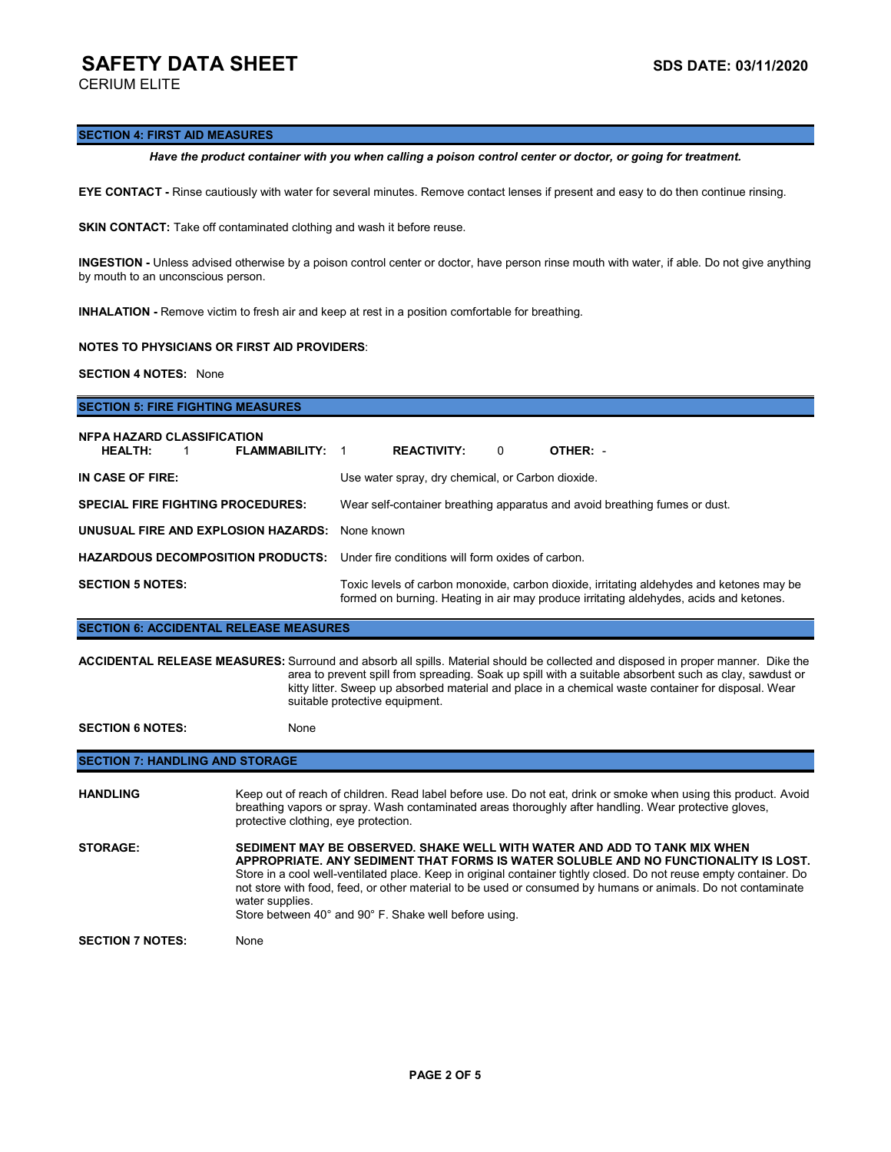CERIUM ELITE

### **SECTION 4: FIRST AID MEASURES**

*Have the product container with you when calling a poison control center or doctor, or going for treatment.*

**EYE CONTACT -** Rinse cautiously with water for several minutes. Remove contact lenses if present and easy to do then continue rinsing.

**SKIN CONTACT:** Take off contaminated clothing and wash it before reuse.

**INGESTION -** Unless advised otherwise by a poison control center or doctor, have person rinse mouth with water, if able. Do not give anything by mouth to an unconscious person.

**INHALATION -** Remove victim to fresh air and keep at rest in a position comfortable for breathing.

### **NOTES TO PHYSICIANS OR FIRST AID PROVIDERS**:

**SECTION 4 NOTES:** None

# **SECTION 5: FIRE FIGHTING MEASURES NFPA HAZARD CLASSIFICATION HEALTH:** 1 **FLAMMABILITY:** 1 **REACTIVITY:** 0 **OTHER:** - **IN CASE OF FIRE:** Use water spray, dry chemical, or Carbon dioxide. **SPECIAL FIRE FIGHTING PROCEDURES:** Wear self-container breathing apparatus and avoid breathing fumes or dust. **UNUSUAL FIRE AND EXPLOSION HAZARDS:** None known **HAZARDOUS DECOMPOSITION PRODUCTS:** Under fire conditions will form oxides of carbon. **SECTION 5 NOTES:** Toxic levels of carbon monoxide, carbon dioxide, irritating aldehydes and ketones may be formed on burning. Heating in air may produce irritating aldehydes, acids and ketones.

**SECTION 6: ACCIDENTAL RELEASE MEASURES**

**ACCIDENTAL RELEASE MEASURES:** Surround and absorb all spills. Material should be collected and disposed in proper manner. Dike the area to prevent spill from spreading. Soak up spill with a suitable absorbent such as clay, sawdust or kitty litter. Sweep up absorbed material and place in a chemical waste container for disposal. Wear suitable protective equipment.

**SECTION 6 NOTES:** None

## **SECTION 7: HANDLING AND STORAGE**

| <b>HANDLING</b>         | Keep out of reach of children. Read label before use. Do not eat, drink or smoke when using this product. Avoid<br>breathing vapors or spray. Wash contaminated areas thoroughly after handling. Wear protective gloves,<br>protective clothing, eye protection.                                                                                                                                                                                                                  |
|-------------------------|-----------------------------------------------------------------------------------------------------------------------------------------------------------------------------------------------------------------------------------------------------------------------------------------------------------------------------------------------------------------------------------------------------------------------------------------------------------------------------------|
| <b>STORAGE:</b>         | SEDIMENT MAY BE OBSERVED. SHAKE WELL WITH WATER AND ADD TO TANK MIX WHEN<br>APPROPRIATE. ANY SEDIMENT THAT FORMS IS WATER SOLUBLE AND NO FUNCTIONALITY IS LOST.<br>Store in a cool well-ventilated place. Keep in original container tightly closed. Do not reuse empty container. Do<br>not store with food, feed, or other material to be used or consumed by humans or animals. Do not contaminate<br>water supplies.<br>Store between 40° and 90° F. Shake well before using. |
| <b>SECTION 7 NOTES:</b> | None                                                                                                                                                                                                                                                                                                                                                                                                                                                                              |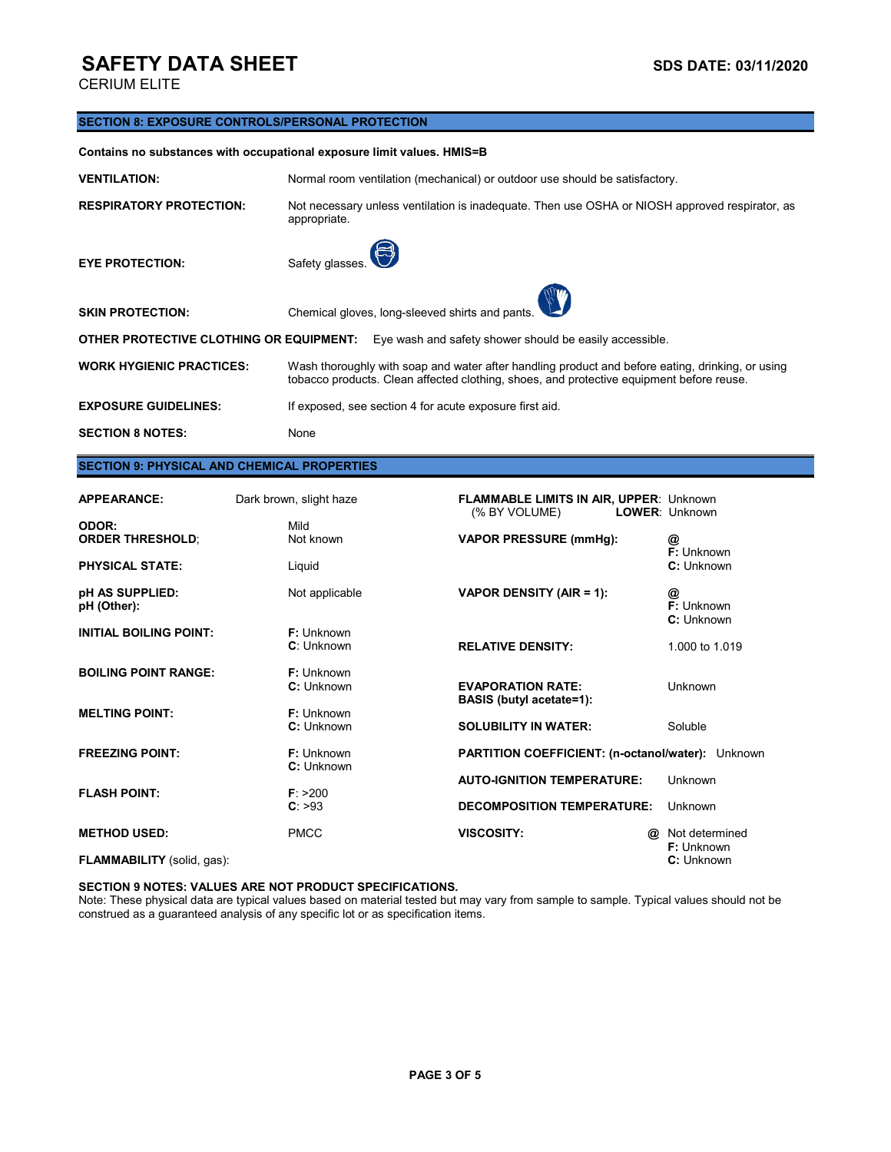CERIUM ELITE

### **SECTION 8: EXPOSURE CONTROLS/PERSONAL PROTECTION**

**Contains no substances with occupational exposure limit values. HMIS=B**

| <b>VENTILATION:</b>                     | Normal room ventilation (mechanical) or outdoor use should be satisfactory.                                                                                                                  |  |  |
|-----------------------------------------|----------------------------------------------------------------------------------------------------------------------------------------------------------------------------------------------|--|--|
| <b>RESPIRATORY PROTECTION:</b>          | Not necessary unless ventilation is inadequate. Then use OSHA or NIOSH approved respirator, as<br>appropriate.                                                                               |  |  |
| <b>EYE PROTECTION:</b>                  | $\bigodot$<br>Safety glasses.                                                                                                                                                                |  |  |
| <b>SKIN PROTECTION:</b>                 | Chemical gloves, long-sleeved shirts and pants.                                                                                                                                              |  |  |
| OTHER PROTECTIVE CLOTHING OR EQUIPMENT: | Eye wash and safety shower should be easily accessible.                                                                                                                                      |  |  |
| <b>WORK HYGIENIC PRACTICES:</b>         | Wash thoroughly with soap and water after handling product and before eating, drinking, or using<br>tobacco products. Clean affected clothing, shoes, and protective equipment before reuse. |  |  |
| <b>EXPOSURE GUIDELINES:</b>             | If exposed, see section 4 for acute exposure first aid.                                                                                                                                      |  |  |
| <b>SECTION 8 NOTES:</b>                 | None                                                                                                                                                                                         |  |  |

## **SECTION 9: PHYSICAL AND CHEMICAL PROPERTIES**

| <b>APPEARANCE:</b>                                         | Dark brown, slight haze         | <b>FLAMMABLE LIMITS IN AIR, UPPER: Unknown</b><br>(% BY VOLUME)        | <b>LOWER: Unknown</b>         |
|------------------------------------------------------------|---------------------------------|------------------------------------------------------------------------|-------------------------------|
| ODOR:<br><b>ORDER THRESHOLD:</b><br><b>PHYSICAL STATE:</b> | Mild<br>Not known<br>Liquid     | <b>VAPOR PRESSURE (mmHg):</b>                                          | @<br>F: Unknown<br>C: Unknown |
| pH AS SUPPLIED:<br>pH (Other):                             | Not applicable                  | VAPOR DENSITY (AIR = 1):                                               | @<br>F: Unknown<br>C: Unknown |
| <b>INITIAL BOILING POINT:</b>                              | <b>F:</b> Unknown<br>C: Unknown | <b>RELATIVE DENSITY:</b>                                               | 1,000 to 1,019                |
| <b>BOILING POINT RANGE:</b>                                | F: Unknown<br>C: Unknown        | <b>EVAPORATION RATE:</b><br><b>BASIS</b> (butyl acetate=1):            | Unknown                       |
| <b>MELTING POINT:</b>                                      | <b>F:</b> Unknown<br>C: Unknown | <b>SOLUBILITY IN WATER:</b>                                            | Soluble                       |
| <b>FREEZING POINT:</b>                                     | <b>F:</b> Unknown<br>C: Unknown | PARTITION COEFFICIENT: (n-octanol/water): Unknown                      |                               |
| <b>FLASH POINT:</b>                                        | F: > 200<br>C: >93              | <b>AUTO-IGNITION TEMPERATURE:</b><br><b>DECOMPOSITION TEMPERATURE:</b> | Unknown<br>Unknown            |
| <b>METHOD USED:</b>                                        | <b>PMCC</b>                     | <b>VISCOSITY:</b><br>@                                                 | Not determined<br>F: Unknown  |
| FLAMMABILITY (solid, gas):                                 |                                 |                                                                        | C: Unknown                    |

#### **SECTION 9 NOTES: VALUES ARE NOT PRODUCT SPECIFICATIONS.**

Note: These physical data are typical values based on material tested but may vary from sample to sample. Typical values should not be construed as a guaranteed analysis of any specific lot or as specification items.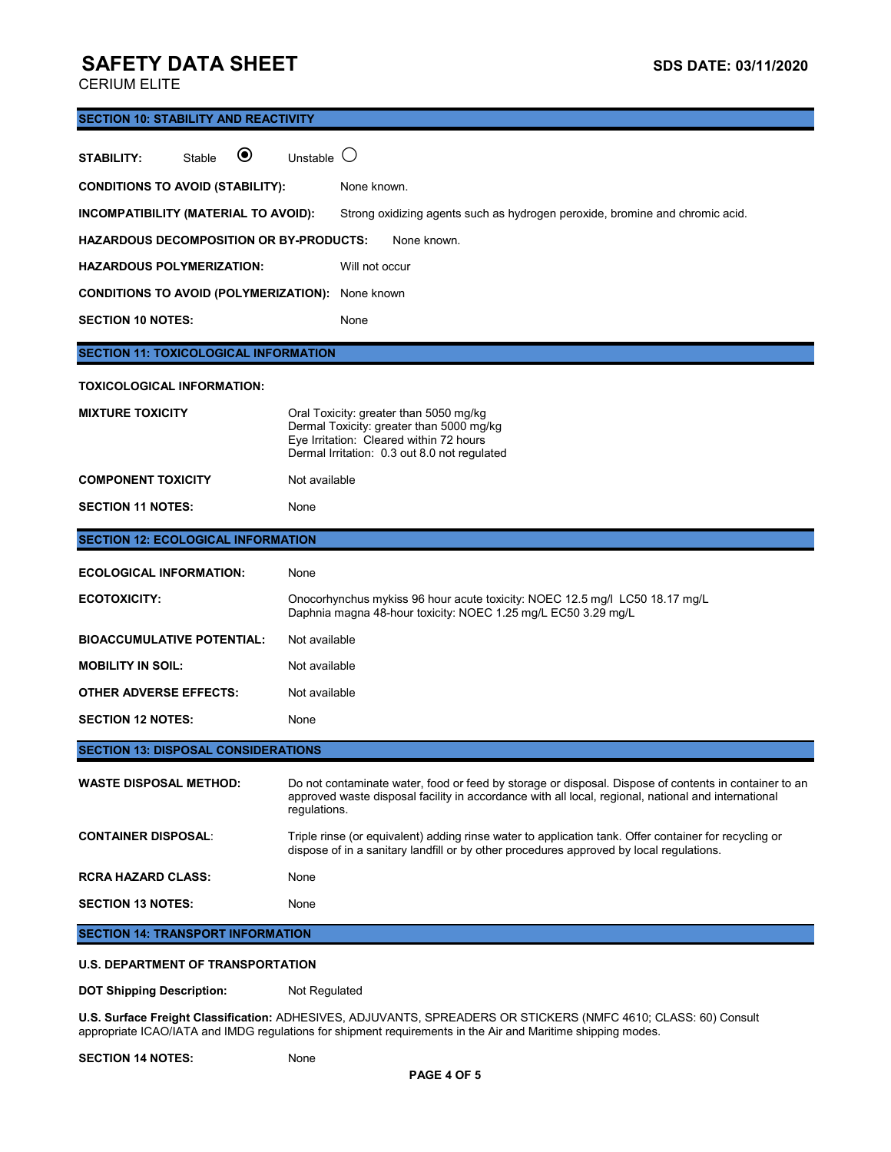CERIUM ELITE

| <b>SECTION 10: STABILITY AND REACTIVITY</b>             |                                                                                                                                                                                                                              |  |  |  |
|---------------------------------------------------------|------------------------------------------------------------------------------------------------------------------------------------------------------------------------------------------------------------------------------|--|--|--|
| ◉<br>Stable<br><b>STABILITY:</b>                        | Unstable $\bigcirc$                                                                                                                                                                                                          |  |  |  |
| <b>CONDITIONS TO AVOID (STABILITY):</b>                 | None known.                                                                                                                                                                                                                  |  |  |  |
| INCOMPATIBILITY (MATERIAL TO AVOID):                    | Strong oxidizing agents such as hydrogen peroxide, bromine and chromic acid.                                                                                                                                                 |  |  |  |
| <b>HAZARDOUS DECOMPOSITION OR BY-PRODUCTS:</b>          | None known.                                                                                                                                                                                                                  |  |  |  |
| <b>HAZARDOUS POLYMERIZATION:</b>                        | Will not occur                                                                                                                                                                                                               |  |  |  |
| <b>CONDITIONS TO AVOID (POLYMERIZATION):</b> None known |                                                                                                                                                                                                                              |  |  |  |
| <b>SECTION 10 NOTES:</b>                                | None                                                                                                                                                                                                                         |  |  |  |
| <b>SECTION 11: TOXICOLOGICAL INFORMATION</b>            |                                                                                                                                                                                                                              |  |  |  |
| <b>TOXICOLOGICAL INFORMATION:</b>                       |                                                                                                                                                                                                                              |  |  |  |
| <b>MIXTURE TOXICITY</b>                                 | Oral Toxicity: greater than 5050 mg/kg<br>Dermal Toxicity: greater than 5000 mg/kg<br>Eye Irritation: Cleared within 72 hours<br>Dermal Irritation: 0.3 out 8.0 not regulated                                                |  |  |  |
| <b>COMPONENT TOXICITY</b>                               | Not available                                                                                                                                                                                                                |  |  |  |
| <b>SECTION 11 NOTES:</b>                                | None                                                                                                                                                                                                                         |  |  |  |
| <b>SECTION 12: ECOLOGICAL INFORMATION</b>               |                                                                                                                                                                                                                              |  |  |  |
| <b>ECOLOGICAL INFORMATION:</b>                          | None                                                                                                                                                                                                                         |  |  |  |
| <b>ECOTOXICITY:</b>                                     | Onocorhynchus mykiss 96 hour acute toxicity: NOEC 12.5 mg/l LC50 18.17 mg/L<br>Daphnia magna 48-hour toxicity: NOEC 1.25 mg/L EC50 3.29 mg/L                                                                                 |  |  |  |
| <b>BIOACCUMULATIVE POTENTIAL:</b>                       | Not available                                                                                                                                                                                                                |  |  |  |
| <b>MOBILITY IN SOIL:</b>                                | Not available                                                                                                                                                                                                                |  |  |  |
| <b>OTHER ADVERSE EFFECTS:</b>                           | Not available                                                                                                                                                                                                                |  |  |  |
| <b>SECTION 12 NOTES:</b>                                | None                                                                                                                                                                                                                         |  |  |  |
| <b>SECTION 13: DISPOSAL CONSIDERATIONS</b>              |                                                                                                                                                                                                                              |  |  |  |
| <b>WASTE DISPOSAL METHOD:</b>                           | Do not contaminate water, food or feed by storage or disposal. Dispose of contents in container to an<br>approved waste disposal facility in accordance with all local, regional, national and international<br>regulations. |  |  |  |
| <b>CONTAINER DISPOSAL:</b>                              | Triple rinse (or equivalent) adding rinse water to application tank. Offer container for recycling or<br>dispose of in a sanitary landfill or by other procedures approved by local regulations.                             |  |  |  |
| <b>RCRA HAZARD CLASS:</b>                               | None                                                                                                                                                                                                                         |  |  |  |
| <b>SECTION 13 NOTES:</b>                                | None                                                                                                                                                                                                                         |  |  |  |
| <b>SECTION 14: TRANSPORT INFORMATION</b>                |                                                                                                                                                                                                                              |  |  |  |
| <b>U.S. DEPARTMENT OF TRANSPORTATION</b>                |                                                                                                                                                                                                                              |  |  |  |

**DOT Shipping Description:** Not Regulated

**U.S. Surface Freight Classification:** ADHESIVES, ADJUVANTS, SPREADERS OR STICKERS (NMFC 4610; CLASS: 60) Consult appropriate ICAO/IATA and IMDG regulations for shipment requirements in the Air and Maritime shipping modes.

### SECTION 14 NOTES: None